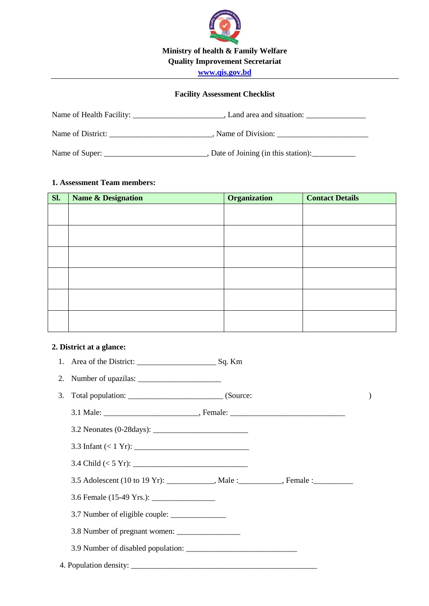

## **Facility Assessment Checklist**

| Name of Health Facility: _ | , Land area and situation:         |
|----------------------------|------------------------------------|
| Name of District:          | Name of Division:                  |
| Name of Super:             | Date of Joining (in this station): |

#### **1. Assessment Team members:**

| Sl. | <b>Name &amp; Designation</b> | Organization | <b>Contact Details</b> |
|-----|-------------------------------|--------------|------------------------|
|     |                               |              |                        |
|     |                               |              |                        |
|     |                               |              |                        |
|     |                               |              |                        |
|     |                               |              |                        |
|     |                               |              |                        |
|     |                               |              |                        |
|     |                               |              |                        |
|     |                               |              |                        |
|     |                               |              |                        |
|     |                               |              |                        |
|     |                               |              |                        |

## **2. District at a glance:**

| 3.5 Adolescent (10 to 19 Yr): ___________, Male : _________, Female : _________ |  |  |
|---------------------------------------------------------------------------------|--|--|
|                                                                                 |  |  |
|                                                                                 |  |  |
|                                                                                 |  |  |
|                                                                                 |  |  |
|                                                                                 |  |  |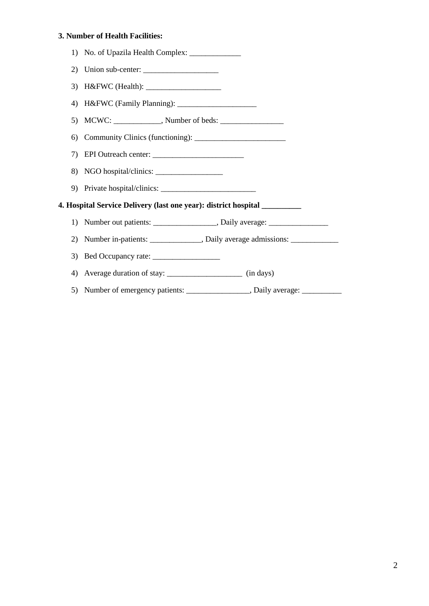#### **3. Number of Health Facilities:**

|     | 1) No. of Upazila Health Complex: _____________                                  |
|-----|----------------------------------------------------------------------------------|
| (2) |                                                                                  |
| 3)  |                                                                                  |
| 4)  |                                                                                  |
|     |                                                                                  |
| 6)  |                                                                                  |
| 7)  |                                                                                  |
| 8)  |                                                                                  |
|     |                                                                                  |
|     | 4. Hospital Service Delivery (last one year): district hospital __________       |
| 1)  | Number out patients: ___________________, Daily average: _______________________ |
| (2) | Number in-patients: ______________, Daily average admissions: __________________ |
| 3)  |                                                                                  |
| 4)  |                                                                                  |
| 5)  | Number of emergency patients: _________________, Daily average: ________________ |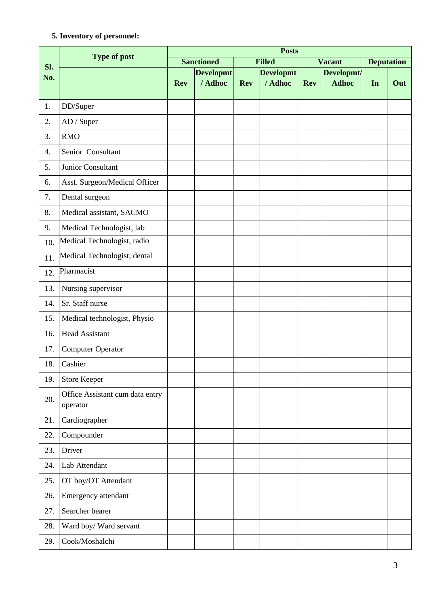#### **5. Inventory of personnel:**

| <b>Posts</b><br><b>Type of post</b> |                                             |            |                   |            |                  |            |               |                   |     |
|-------------------------------------|---------------------------------------------|------------|-------------------|------------|------------------|------------|---------------|-------------------|-----|
| SI.                                 |                                             |            | <b>Sanctioned</b> |            | <b>Filled</b>    |            | <b>Vacant</b> | <b>Deputation</b> |     |
| No.                                 |                                             |            | <b>Developmt</b>  |            | <b>Developmt</b> |            | Developmt/    |                   |     |
|                                     |                                             | <b>Rev</b> | / Adhoc           | <b>Rev</b> | / Adhoc          | <b>Rev</b> | <b>Adhoc</b>  | In                | Out |
| 1.                                  | DD/Super                                    |            |                   |            |                  |            |               |                   |     |
| 2.                                  | AD / Super                                  |            |                   |            |                  |            |               |                   |     |
| 3.                                  | <b>RMO</b>                                  |            |                   |            |                  |            |               |                   |     |
| 4.                                  | Senior Consultant                           |            |                   |            |                  |            |               |                   |     |
| 5.                                  | Junior Consultant                           |            |                   |            |                  |            |               |                   |     |
| 6.                                  | Asst. Surgeon/Medical Officer               |            |                   |            |                  |            |               |                   |     |
| 7.                                  | Dental surgeon                              |            |                   |            |                  |            |               |                   |     |
| 8.                                  | Medical assistant, SACMO                    |            |                   |            |                  |            |               |                   |     |
| 9.                                  | Medical Technologist, lab                   |            |                   |            |                  |            |               |                   |     |
| 10.                                 | Medical Technologist, radio                 |            |                   |            |                  |            |               |                   |     |
| 11.                                 | Medical Technologist, dental                |            |                   |            |                  |            |               |                   |     |
| 12.                                 | Pharmacist                                  |            |                   |            |                  |            |               |                   |     |
| 13.                                 | Nursing supervisor                          |            |                   |            |                  |            |               |                   |     |
| 14.                                 | Sr. Staff nurse                             |            |                   |            |                  |            |               |                   |     |
| 15.                                 | Medical technologist, Physio                |            |                   |            |                  |            |               |                   |     |
| 16.                                 | <b>Head Assistant</b>                       |            |                   |            |                  |            |               |                   |     |
| 17.                                 | <b>Computer Operator</b>                    |            |                   |            |                  |            |               |                   |     |
| 18.                                 | Cashier                                     |            |                   |            |                  |            |               |                   |     |
| 19.                                 | <b>Store Keeper</b>                         |            |                   |            |                  |            |               |                   |     |
| 20.                                 | Office Assistant cum data entry<br>operator |            |                   |            |                  |            |               |                   |     |
| 21.                                 | Cardiographer                               |            |                   |            |                  |            |               |                   |     |
| 22.                                 | Compounder                                  |            |                   |            |                  |            |               |                   |     |
| 23.                                 | Driver                                      |            |                   |            |                  |            |               |                   |     |
| 24.                                 | Lab Attendant                               |            |                   |            |                  |            |               |                   |     |
| 25.                                 | OT boy/OT Attendant                         |            |                   |            |                  |            |               |                   |     |
| 26.                                 | Emergency attendant                         |            |                   |            |                  |            |               |                   |     |
| 27.                                 | Searcher bearer                             |            |                   |            |                  |            |               |                   |     |
| 28.                                 | Ward boy/ Ward servant                      |            |                   |            |                  |            |               |                   |     |
| 29.                                 | Cook/Moshalchi                              |            |                   |            |                  |            |               |                   |     |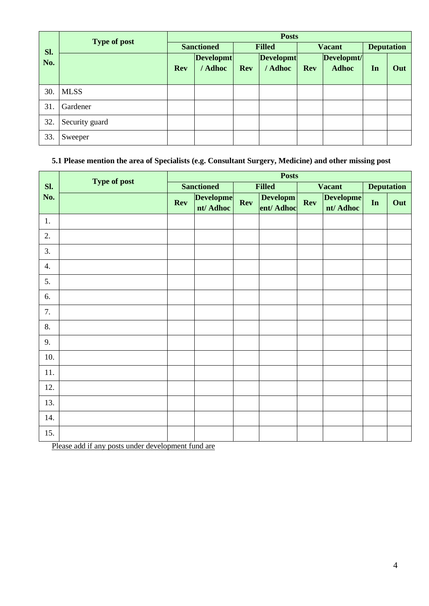|     | <b>Type of post</b> | <b>Posts</b>      |                  |               |                  |            |               |                   |     |
|-----|---------------------|-------------------|------------------|---------------|------------------|------------|---------------|-------------------|-----|
| Sl. |                     | <b>Sanctioned</b> |                  | <b>Filled</b> |                  |            | <b>Vacant</b> | <b>Deputation</b> |     |
| No. |                     |                   | <b>Developmt</b> |               | <b>Developmt</b> |            | Developmt/    |                   |     |
|     |                     | <b>Rev</b>        | / Adhoc          | <b>Rev</b>    | / Adhoc          | <b>Rev</b> | <b>Adhoc</b>  | In                | Out |
| 30. | <b>MLSS</b>         |                   |                  |               |                  |            |               |                   |     |
| 31. | Gardener            |                   |                  |               |                  |            |               |                   |     |
| 32. | Security guard      |                   |                  |               |                  |            |               |                   |     |
| 33. | Sweeper             |                   |                  |               |                  |            |               |                   |     |

## **5.1 Please mention the area of Specialists (e.g. Consultant Surgery, Medicine) and other missing post**

|     | Type of post |            |                               | <b>Posts</b>  |                       |            |                               |    |                   |
|-----|--------------|------------|-------------------------------|---------------|-----------------------|------------|-------------------------------|----|-------------------|
| Sl. |              |            | <b>Sanctioned</b>             | <b>Filled</b> |                       |            | <b>Vacant</b>                 |    | <b>Deputation</b> |
| No. |              | <b>Rev</b> | <b>Developme</b><br>nt/ Adhoc | Rev           | Developm<br>ent/Adhoc | <b>Rev</b> | <b>Developme</b><br>nt/ Adhoc | In | Out               |
| 1.  |              |            |                               |               |                       |            |                               |    |                   |
| 2.  |              |            |                               |               |                       |            |                               |    |                   |
| 3.  |              |            |                               |               |                       |            |                               |    |                   |
| 4.  |              |            |                               |               |                       |            |                               |    |                   |
| 5.  |              |            |                               |               |                       |            |                               |    |                   |
| 6.  |              |            |                               |               |                       |            |                               |    |                   |
| 7.  |              |            |                               |               |                       |            |                               |    |                   |
| 8.  |              |            |                               |               |                       |            |                               |    |                   |
| 9.  |              |            |                               |               |                       |            |                               |    |                   |
| 10. |              |            |                               |               |                       |            |                               |    |                   |
| 11. |              |            |                               |               |                       |            |                               |    |                   |
| 12. |              |            |                               |               |                       |            |                               |    |                   |
| 13. |              |            |                               |               |                       |            |                               |    |                   |
| 14. |              |            |                               |               |                       |            |                               |    |                   |
| 15. |              |            |                               |               |                       |            |                               |    |                   |

Please add if any posts under development fund are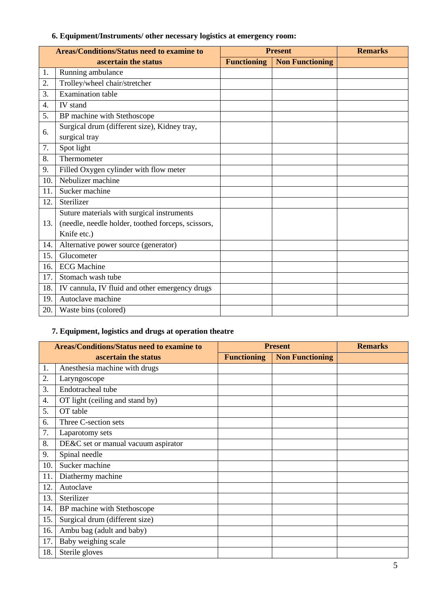## **6. Equipment/Instruments/ other necessary logistics at emergency room:**

|                  | <b>Areas/Conditions/Status need to examine to</b>  |                    | <b>Present</b>         | <b>Remarks</b> |
|------------------|----------------------------------------------------|--------------------|------------------------|----------------|
|                  | ascertain the status                               | <b>Functioning</b> | <b>Non Functioning</b> |                |
| 1.               | Running ambulance                                  |                    |                        |                |
| 2.               | Trolley/wheel chair/stretcher                      |                    |                        |                |
| 3.               | <b>Examination</b> table                           |                    |                        |                |
| $\overline{4}$ . | IV stand                                           |                    |                        |                |
| 5.               | BP machine with Stethoscope                        |                    |                        |                |
| 6.               | Surgical drum (different size), Kidney tray,       |                    |                        |                |
|                  | surgical tray                                      |                    |                        |                |
| 7.               | Spot light                                         |                    |                        |                |
| 8.               | Thermometer                                        |                    |                        |                |
| 9.               | Filled Oxygen cylinder with flow meter             |                    |                        |                |
| 10.              | Nebulizer machine                                  |                    |                        |                |
| 11.              | Sucker machine                                     |                    |                        |                |
| 12.              | Sterilizer                                         |                    |                        |                |
|                  | Suture materials with surgical instruments         |                    |                        |                |
| 13.              | (needle, needle holder, toothed forceps, scissors, |                    |                        |                |
|                  | Knife etc.)                                        |                    |                        |                |
| 14.              | Alternative power source (generator)               |                    |                        |                |
| 15.              | Glucometer                                         |                    |                        |                |
| 16.              | <b>ECG Machine</b>                                 |                    |                        |                |
| 17.              | Stomach wash tube                                  |                    |                        |                |
| 18.              | IV cannula, IV fluid and other emergency drugs     |                    |                        |                |
| 19.              | Autoclave machine                                  |                    |                        |                |
| 20.              | Waste bins (colored)                               |                    |                        |                |

# **7. Equipment, logistics and drugs at operation theatre**

|     | <b>Areas/Conditions/Status need to examine to</b> | <b>Present</b>     | <b>Remarks</b>         |  |
|-----|---------------------------------------------------|--------------------|------------------------|--|
|     | ascertain the status                              | <b>Functioning</b> | <b>Non Functioning</b> |  |
| 1.  | Anesthesia machine with drugs                     |                    |                        |  |
| 2.  | Laryngoscope                                      |                    |                        |  |
| 3.  | Endotracheal tube                                 |                    |                        |  |
| 4.  | OT light (ceiling and stand by)                   |                    |                        |  |
| 5.  | OT table                                          |                    |                        |  |
| 6.  | Three C-section sets                              |                    |                        |  |
| 7.  | Laparotomy sets                                   |                    |                        |  |
| 8.  | DE&C set or manual vacuum aspirator               |                    |                        |  |
| 9.  | Spinal needle                                     |                    |                        |  |
| 10. | Sucker machine                                    |                    |                        |  |
| 11. | Diathermy machine                                 |                    |                        |  |
| 12. | Autoclave                                         |                    |                        |  |
| 13. | Sterilizer                                        |                    |                        |  |
| 14. | BP machine with Stethoscope                       |                    |                        |  |
| 15. | Surgical drum (different size)                    |                    |                        |  |
| 16. | Ambu bag (adult and baby)                         |                    |                        |  |
| 17. | Baby weighing scale                               |                    |                        |  |
| 18. | Sterile gloves                                    |                    |                        |  |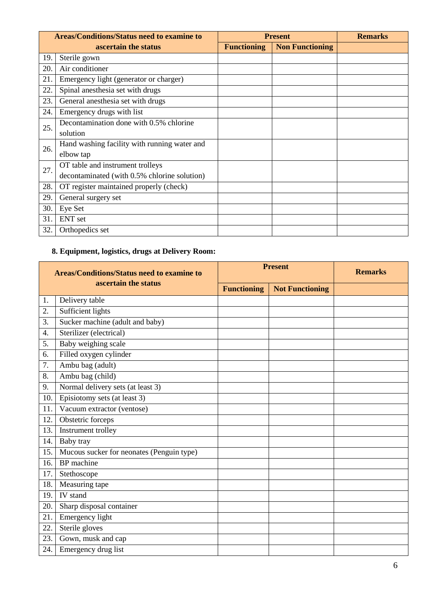|     | <b>Areas/Conditions/Status need to examine to</b> | <b>Present</b>     | <b>Remarks</b>         |  |
|-----|---------------------------------------------------|--------------------|------------------------|--|
|     | ascertain the status                              | <b>Functioning</b> | <b>Non Functioning</b> |  |
| 19. | Sterile gown                                      |                    |                        |  |
| 20. | Air conditioner                                   |                    |                        |  |
| 21. | Emergency light (generator or charger)            |                    |                        |  |
| 22. | Spinal anesthesia set with drugs                  |                    |                        |  |
| 23. | General anesthesia set with drugs                 |                    |                        |  |
| 24. | Emergency drugs with list                         |                    |                        |  |
| 25. | Decontamination done with 0.5% chlorine           |                    |                        |  |
|     | solution                                          |                    |                        |  |
| 26. | Hand washing facility with running water and      |                    |                        |  |
|     | elbow tap                                         |                    |                        |  |
| 27. | OT table and instrument trolleys                  |                    |                        |  |
|     | decontaminated (with 0.5% chlorine solution)      |                    |                        |  |
| 28. | OT register maintained properly (check)           |                    |                        |  |
| 29. | General surgery set                               |                    |                        |  |
| 30. | Eye Set                                           |                    |                        |  |
| 31. | <b>ENT</b> set                                    |                    |                        |  |
| 32. | Orthopedics set                                   |                    |                        |  |

# **8. Equipment, logistics, drugs at Delivery Room:**

| <b>Areas/Conditions/Status need to examine to</b> |                                           |                    | <b>Present</b>         | <b>Remarks</b> |
|---------------------------------------------------|-------------------------------------------|--------------------|------------------------|----------------|
|                                                   | ascertain the status                      | <b>Functioning</b> | <b>Not Functioning</b> |                |
| 1.                                                | Delivery table                            |                    |                        |                |
| 2.                                                | Sufficient lights                         |                    |                        |                |
| 3.                                                | Sucker machine (adult and baby)           |                    |                        |                |
| 4.                                                | Sterilizer (electrical)                   |                    |                        |                |
| 5.                                                | Baby weighing scale                       |                    |                        |                |
| 6.                                                | Filled oxygen cylinder                    |                    |                        |                |
| 7.                                                | Ambu bag (adult)                          |                    |                        |                |
| 8.                                                | Ambu bag (child)                          |                    |                        |                |
| 9.                                                | Normal delivery sets (at least 3)         |                    |                        |                |
| 10.                                               | Episiotomy sets (at least 3)              |                    |                        |                |
| 11.                                               | Vacuum extractor (ventose)                |                    |                        |                |
| 12.                                               | Obstetric forceps                         |                    |                        |                |
| 13.                                               | Instrument trolley                        |                    |                        |                |
| 14.                                               | Baby tray                                 |                    |                        |                |
| 15.                                               | Mucous sucker for neonates (Penguin type) |                    |                        |                |
| 16.                                               | BP machine                                |                    |                        |                |
| 17.                                               | Stethoscope                               |                    |                        |                |
| 18.                                               | Measuring tape                            |                    |                        |                |
| 19.                                               | IV stand                                  |                    |                        |                |
| 20.                                               | Sharp disposal container                  |                    |                        |                |
| 21.                                               | Emergency light                           |                    |                        |                |
| 22.                                               | Sterile gloves                            |                    |                        |                |
| 23.                                               | Gown, musk and cap                        |                    |                        |                |
| 24.                                               | Emergency drug list                       |                    |                        |                |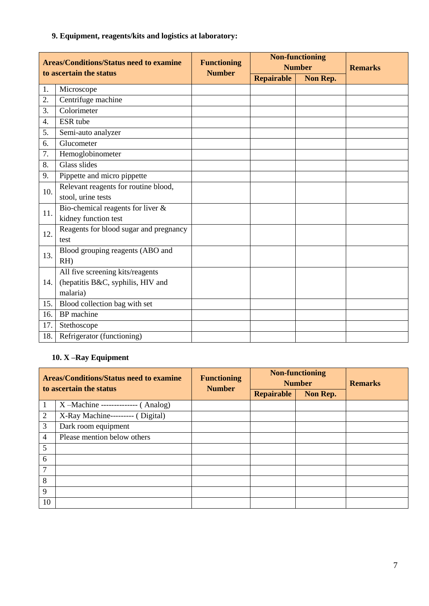## **9. Equipment, reagents/kits and logistics at laboratory:**

| <b>Areas/Conditions/Status need to examine</b><br>to ascertain the status |                                        | <b>Functioning</b> |            | <b>Non-functioning</b><br><b>Number</b> | <b>Remarks</b> |
|---------------------------------------------------------------------------|----------------------------------------|--------------------|------------|-----------------------------------------|----------------|
|                                                                           |                                        | <b>Number</b>      | Repairable | Non Rep.                                |                |
| 1.                                                                        | Microscope                             |                    |            |                                         |                |
| 2.                                                                        | Centrifuge machine                     |                    |            |                                         |                |
| 3.                                                                        | Colorimeter                            |                    |            |                                         |                |
| 4.                                                                        | ESR tube                               |                    |            |                                         |                |
| 5.                                                                        | Semi-auto analyzer                     |                    |            |                                         |                |
| 6.                                                                        | Glucometer                             |                    |            |                                         |                |
| 7.                                                                        | Hemoglobinometer                       |                    |            |                                         |                |
| 8.                                                                        | Glass slides                           |                    |            |                                         |                |
| 9.                                                                        | Pippette and micro pippette            |                    |            |                                         |                |
| 10.                                                                       | Relevant reagents for routine blood,   |                    |            |                                         |                |
|                                                                           | stool, urine tests                     |                    |            |                                         |                |
| 11.                                                                       | Bio-chemical reagents for liver $\&$   |                    |            |                                         |                |
|                                                                           | kidney function test                   |                    |            |                                         |                |
| 12.                                                                       | Reagents for blood sugar and pregnancy |                    |            |                                         |                |
|                                                                           | test                                   |                    |            |                                         |                |
| 13.                                                                       | Blood grouping reagents (ABO and       |                    |            |                                         |                |
|                                                                           | $RH$ )                                 |                    |            |                                         |                |
|                                                                           | All five screening kits/reagents       |                    |            |                                         |                |
| 14.                                                                       | (hepatitis B&C, syphilis, HIV and      |                    |            |                                         |                |
|                                                                           | malaria)                               |                    |            |                                         |                |
| 15.                                                                       | Blood collection bag with set          |                    |            |                                         |                |
| 16.                                                                       | BP machine                             |                    |            |                                         |                |
| 17.                                                                       | Stethoscope                            |                    |            |                                         |                |
| 18.                                                                       | Refrigerator (functioning)             |                    |            |                                         |                |

## **10. X –Ray Equipment**

| <b>Areas/Conditions/Status need to examine</b><br>to ascertain the status |                                         | <b>Functioning</b><br><b>Number</b> | <b>Non-functioning</b><br><b>Number</b> | <b>Remarks</b> |  |
|---------------------------------------------------------------------------|-----------------------------------------|-------------------------------------|-----------------------------------------|----------------|--|
|                                                                           |                                         |                                     | Repairable                              | Non Rep.       |  |
|                                                                           | $X - Machine$ ---------------- (Analog) |                                     |                                         |                |  |
| $\overline{2}$                                                            | X-Ray Machine--------- (Digital)        |                                     |                                         |                |  |
| 3                                                                         | Dark room equipment                     |                                     |                                         |                |  |
| 4                                                                         | Please mention below others             |                                     |                                         |                |  |
| 5                                                                         |                                         |                                     |                                         |                |  |
| 6                                                                         |                                         |                                     |                                         |                |  |
| 7                                                                         |                                         |                                     |                                         |                |  |
| 8                                                                         |                                         |                                     |                                         |                |  |
| 9                                                                         |                                         |                                     |                                         |                |  |
| 10                                                                        |                                         |                                     |                                         |                |  |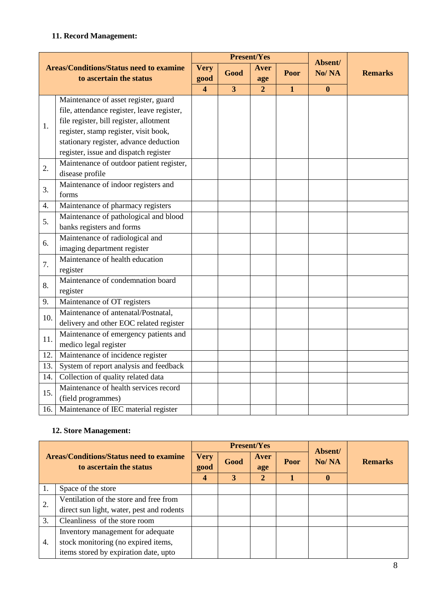#### **11. Record Management:**

|     |                                                                           |                         |                         | <b>Present/Yes</b> |              |                  |                |
|-----|---------------------------------------------------------------------------|-------------------------|-------------------------|--------------------|--------------|------------------|----------------|
|     | <b>Areas/Conditions/Status need to examine</b><br>to ascertain the status | <b>Very</b><br>good     | Good                    | Aver<br>age        | Poor         | Absent/<br>No/NA | <b>Remarks</b> |
|     |                                                                           | $\overline{\mathbf{4}}$ | $\overline{\mathbf{3}}$ | $\overline{2}$     | $\mathbf{1}$ | $\bf{0}$         |                |
|     | Maintenance of asset register, guard                                      |                         |                         |                    |              |                  |                |
|     | file, attendance register, leave register,                                |                         |                         |                    |              |                  |                |
| 1.  | file register, bill register, allotment                                   |                         |                         |                    |              |                  |                |
|     | register, stamp register, visit book,                                     |                         |                         |                    |              |                  |                |
|     | stationary register, advance deduction                                    |                         |                         |                    |              |                  |                |
|     | register, issue and dispatch register                                     |                         |                         |                    |              |                  |                |
| 2.  | Maintenance of outdoor patient register,                                  |                         |                         |                    |              |                  |                |
|     | disease profile                                                           |                         |                         |                    |              |                  |                |
| 3.  | Maintenance of indoor registers and                                       |                         |                         |                    |              |                  |                |
|     | forms                                                                     |                         |                         |                    |              |                  |                |
| 4.  | Maintenance of pharmacy registers                                         |                         |                         |                    |              |                  |                |
| 5.  | Maintenance of pathological and blood                                     |                         |                         |                    |              |                  |                |
|     | banks registers and forms                                                 |                         |                         |                    |              |                  |                |
| 6.  | Maintenance of radiological and                                           |                         |                         |                    |              |                  |                |
|     | imaging department register                                               |                         |                         |                    |              |                  |                |
| 7.  | Maintenance of health education                                           |                         |                         |                    |              |                  |                |
|     | register                                                                  |                         |                         |                    |              |                  |                |
| 8.  | Maintenance of condemnation board                                         |                         |                         |                    |              |                  |                |
|     | register                                                                  |                         |                         |                    |              |                  |                |
| 9.  | Maintenance of OT registers                                               |                         |                         |                    |              |                  |                |
| 10. | Maintenance of antenatal/Postnatal,                                       |                         |                         |                    |              |                  |                |
|     | delivery and other EOC related register                                   |                         |                         |                    |              |                  |                |
| 11. | Maintenance of emergency patients and                                     |                         |                         |                    |              |                  |                |
|     | medico legal register                                                     |                         |                         |                    |              |                  |                |
| 12. | Maintenance of incidence register                                         |                         |                         |                    |              |                  |                |
| 13. | System of report analysis and feedback                                    |                         |                         |                    |              |                  |                |
| 14. | Collection of quality related data                                        |                         |                         |                    |              |                  |                |
| 15. | Maintenance of health services record                                     |                         |                         |                    |              |                  |                |
|     | (field programmes)                                                        |                         |                         |                    |              |                  |                |
| 16. | Maintenance of IEC material register                                      |                         |                         |                    |              |                  |                |

#### **12. Store Management:**

| <b>Areas/Conditions/Status need to examine</b><br>to ascertain the status |                                           |                     |      | <b>Present/Yes</b> | Absent/ |             |                |
|---------------------------------------------------------------------------|-------------------------------------------|---------------------|------|--------------------|---------|-------------|----------------|
|                                                                           |                                           | <b>Very</b><br>good | Good | Aver<br>age        | Poor    | No/NA       | <b>Remarks</b> |
|                                                                           |                                           | 4                   | 3    | 2                  |         | $\mathbf 0$ |                |
|                                                                           | Space of the store                        |                     |      |                    |         |             |                |
| 2.                                                                        | Ventilation of the store and free from    |                     |      |                    |         |             |                |
|                                                                           | direct sun light, water, pest and rodents |                     |      |                    |         |             |                |
| 3.                                                                        | Cleanliness of the store room             |                     |      |                    |         |             |                |
| 4.                                                                        | Inventory management for adequate         |                     |      |                    |         |             |                |
|                                                                           | stock monitoring (no expired items,       |                     |      |                    |         |             |                |
|                                                                           | items stored by expiration date, upto     |                     |      |                    |         |             |                |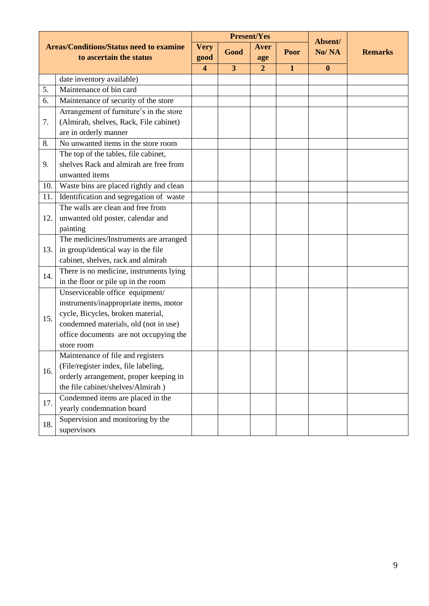| <b>Areas/Conditions/Status need to examine</b><br>to ascertain the status |                                                      |                       |                | <b>Present/Yes</b>            | Absent/      |                  |                |
|---------------------------------------------------------------------------|------------------------------------------------------|-----------------------|----------------|-------------------------------|--------------|------------------|----------------|
|                                                                           |                                                      | <b>Very</b><br>good   | Good           | Aver<br>age<br>$\overline{2}$ | Poor         | No/NA            | <b>Remarks</b> |
|                                                                           |                                                      | $\boldsymbol{\Delta}$ | $\overline{3}$ |                               | $\mathbf{1}$ | $\boldsymbol{0}$ |                |
|                                                                           | date inventory available)<br>Maintenance of bin card |                       |                |                               |              |                  |                |
| 5.                                                                        |                                                      |                       |                |                               |              |                  |                |
| 6.                                                                        | Maintenance of security of the store                 |                       |                |                               |              |                  |                |
|                                                                           | Arrangement of furniture's in the store              |                       |                |                               |              |                  |                |
| 7.                                                                        | (Almirah, shelves, Rack, File cabinet)               |                       |                |                               |              |                  |                |
|                                                                           | are in orderly manner                                |                       |                |                               |              |                  |                |
| 8.                                                                        | No unwanted items in the store room                  |                       |                |                               |              |                  |                |
|                                                                           | The top of the tables, file cabinet,                 |                       |                |                               |              |                  |                |
| 9.                                                                        | shelves Rack and almirah are free from               |                       |                |                               |              |                  |                |
|                                                                           | unwanted items                                       |                       |                |                               |              |                  |                |
| 10.                                                                       | Waste bins are placed rightly and clean              |                       |                |                               |              |                  |                |
| 11.                                                                       | Identification and segregation of waste              |                       |                |                               |              |                  |                |
|                                                                           | The walls are clean and free from                    |                       |                |                               |              |                  |                |
| 12.                                                                       | unwanted old poster, calendar and                    |                       |                |                               |              |                  |                |
|                                                                           | painting                                             |                       |                |                               |              |                  |                |
|                                                                           | The medicines/Instruments are arranged               |                       |                |                               |              |                  |                |
| 13.                                                                       | in group/identical way in the file                   |                       |                |                               |              |                  |                |
|                                                                           | cabinet, shelves, rack and almirah                   |                       |                |                               |              |                  |                |
| 14.                                                                       | There is no medicine, instruments lying              |                       |                |                               |              |                  |                |
|                                                                           | in the floor or pile up in the room                  |                       |                |                               |              |                  |                |
|                                                                           | Unserviceable office equipment/                      |                       |                |                               |              |                  |                |
|                                                                           | instruments/inappropriate items, motor               |                       |                |                               |              |                  |                |
|                                                                           | cycle, Bicycles, broken material,                    |                       |                |                               |              |                  |                |
| 15.                                                                       | condemned materials, old (not in use)                |                       |                |                               |              |                  |                |
|                                                                           | office documents are not occupying the               |                       |                |                               |              |                  |                |
|                                                                           | store room                                           |                       |                |                               |              |                  |                |
|                                                                           | Maintenance of file and registers                    |                       |                |                               |              |                  |                |
|                                                                           | (File/register index, file labeling,                 |                       |                |                               |              |                  |                |
| 16.                                                                       | orderly arrangement, proper keeping in               |                       |                |                               |              |                  |                |
|                                                                           | the file cabinet/shelves/Almirah)                    |                       |                |                               |              |                  |                |
|                                                                           | Condemned items are placed in the                    |                       |                |                               |              |                  |                |
| 17.                                                                       | yearly condemnation board                            |                       |                |                               |              |                  |                |
|                                                                           | Supervision and monitoring by the                    |                       |                |                               |              |                  |                |
| 18.                                                                       | supervisors                                          |                       |                |                               |              |                  |                |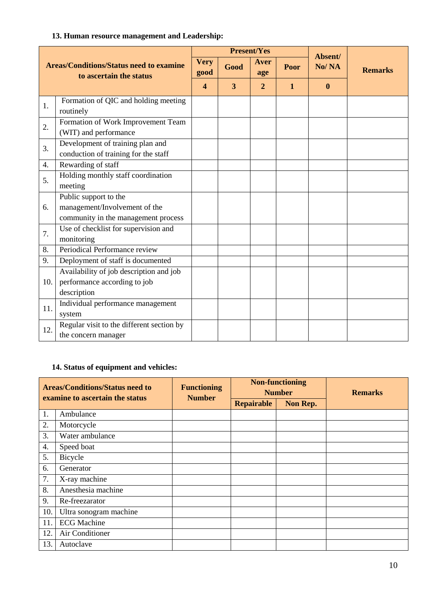#### **13. Human resource management and Leadership:**

| <b>Areas/Conditions/Status need to examine</b><br>to ascertain the status |                                           | <b>Present/Yes</b>      |      |                |              | Absent/          |                |
|---------------------------------------------------------------------------|-------------------------------------------|-------------------------|------|----------------|--------------|------------------|----------------|
|                                                                           |                                           | <b>Very</b><br>good     | Good | Aver<br>age    | Poor         | No/NA            | <b>Remarks</b> |
|                                                                           |                                           | $\overline{\mathbf{4}}$ | 3    | $\overline{2}$ | $\mathbf{1}$ | $\boldsymbol{0}$ |                |
| 1.                                                                        | Formation of QIC and holding meeting      |                         |      |                |              |                  |                |
|                                                                           | routinely                                 |                         |      |                |              |                  |                |
| 2.                                                                        | Formation of Work Improvement Team        |                         |      |                |              |                  |                |
|                                                                           | (WIT) and performance                     |                         |      |                |              |                  |                |
| 3.                                                                        | Development of training plan and          |                         |      |                |              |                  |                |
|                                                                           | conduction of training for the staff      |                         |      |                |              |                  |                |
| 4.                                                                        | Rewarding of staff                        |                         |      |                |              |                  |                |
| 5.                                                                        | Holding monthly staff coordination        |                         |      |                |              |                  |                |
|                                                                           | meeting                                   |                         |      |                |              |                  |                |
|                                                                           | Public support to the                     |                         |      |                |              |                  |                |
| 6.                                                                        | management/Involvement of the             |                         |      |                |              |                  |                |
|                                                                           | community in the management process       |                         |      |                |              |                  |                |
| 7.                                                                        | Use of checklist for supervision and      |                         |      |                |              |                  |                |
|                                                                           | monitoring                                |                         |      |                |              |                  |                |
| 8.                                                                        | Periodical Performance review             |                         |      |                |              |                  |                |
| 9.                                                                        | Deployment of staff is documented         |                         |      |                |              |                  |                |
|                                                                           | Availability of job description and job   |                         |      |                |              |                  |                |
| 10.                                                                       | performance according to job              |                         |      |                |              |                  |                |
|                                                                           | description                               |                         |      |                |              |                  |                |
| 11.                                                                       | Individual performance management         |                         |      |                |              |                  |                |
|                                                                           | system                                    |                         |      |                |              |                  |                |
| 12.                                                                       | Regular visit to the different section by |                         |      |                |              |                  |                |
|                                                                           | the concern manager                       |                         |      |                |              |                  |                |

## **14. Status of equipment and vehicles:**

| <b>Areas/Conditions/Status need to</b><br>examine to ascertain the status |                        | <b>Functioning</b><br><b>Number</b> |                   | <b>Non-functioning</b><br><b>Number</b> | <b>Remarks</b> |
|---------------------------------------------------------------------------|------------------------|-------------------------------------|-------------------|-----------------------------------------|----------------|
|                                                                           |                        |                                     | <b>Repairable</b> | Non Rep.                                |                |
| 1.                                                                        | Ambulance              |                                     |                   |                                         |                |
| 2.                                                                        | Motorcycle             |                                     |                   |                                         |                |
| 3.                                                                        | Water ambulance        |                                     |                   |                                         |                |
| 4.                                                                        | Speed boat             |                                     |                   |                                         |                |
| 5.                                                                        | Bicycle                |                                     |                   |                                         |                |
| 6.                                                                        | Generator              |                                     |                   |                                         |                |
| 7.                                                                        | X-ray machine          |                                     |                   |                                         |                |
| 8.                                                                        | Anesthesia machine     |                                     |                   |                                         |                |
| 9.                                                                        | Re-freezarator         |                                     |                   |                                         |                |
| 10.                                                                       | Ultra sonogram machine |                                     |                   |                                         |                |
| 11.                                                                       | <b>ECG</b> Machine     |                                     |                   |                                         |                |
| 12.                                                                       | Air Conditioner        |                                     |                   |                                         |                |
| 13.                                                                       | Autoclave              |                                     |                   |                                         |                |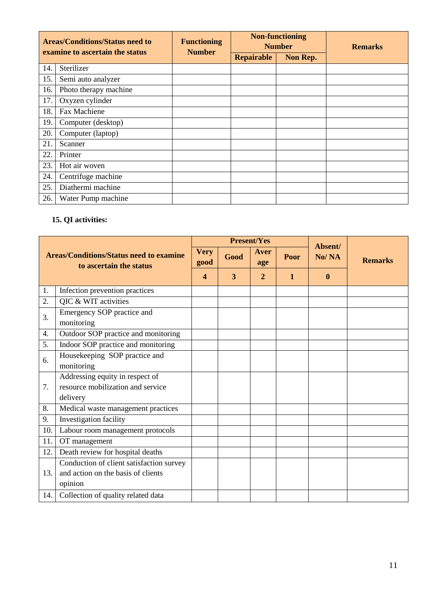| <b>Areas/Conditions/Status need to</b><br>examine to ascertain the status |                       | <b>Functioning</b><br><b>Number</b> |                   | <b>Non-functioning</b><br><b>Number</b> | <b>Remarks</b> |
|---------------------------------------------------------------------------|-----------------------|-------------------------------------|-------------------|-----------------------------------------|----------------|
|                                                                           |                       |                                     | <b>Repairable</b> | Non Rep.                                |                |
| 14.                                                                       | Sterilizer            |                                     |                   |                                         |                |
| 15.                                                                       | Semi auto analyzer    |                                     |                   |                                         |                |
| 16.                                                                       | Photo therapy machine |                                     |                   |                                         |                |
| 17.                                                                       | Oxyzen cylinder       |                                     |                   |                                         |                |
| 18.                                                                       | Fax Machiene          |                                     |                   |                                         |                |
| 19.                                                                       | Computer (desktop)    |                                     |                   |                                         |                |
| 20.                                                                       | Computer (laptop)     |                                     |                   |                                         |                |
| 21.                                                                       | Scanner               |                                     |                   |                                         |                |
| 22.                                                                       | Printer               |                                     |                   |                                         |                |
| 23.                                                                       | Hot air woven         |                                     |                   |                                         |                |
| 24.                                                                       | Centrifuge machine    |                                     |                   |                                         |                |
| 25.                                                                       | Diathermi machine     |                                     |                   |                                         |                |
| 26.                                                                       | Water Pump machine    |                                     |                   |                                         |                |

# **15. QI activities:**

| <b>Areas/Conditions/Status need to examine</b><br>to ascertain the status |                                          | <b>Present/Yes</b>      |      |                |              | Absent/  |                |
|---------------------------------------------------------------------------|------------------------------------------|-------------------------|------|----------------|--------------|----------|----------------|
|                                                                           |                                          | <b>Very</b><br>good     | Good | Aver<br>age    | Poor         | No/NA    | <b>Remarks</b> |
|                                                                           |                                          | $\overline{\mathbf{4}}$ | 3    | $\overline{2}$ | $\mathbf{1}$ | $\bf{0}$ |                |
| 1.                                                                        | Infection prevention practices           |                         |      |                |              |          |                |
| 2.                                                                        | QIC & WIT activities                     |                         |      |                |              |          |                |
| 3.                                                                        | Emergency SOP practice and               |                         |      |                |              |          |                |
|                                                                           | monitoring                               |                         |      |                |              |          |                |
| 4.                                                                        | Outdoor SOP practice and monitoring      |                         |      |                |              |          |                |
| 5.                                                                        | Indoor SOP practice and monitoring       |                         |      |                |              |          |                |
| 6.                                                                        | Housekeeping SOP practice and            |                         |      |                |              |          |                |
|                                                                           | monitoring                               |                         |      |                |              |          |                |
|                                                                           | Addressing equity in respect of          |                         |      |                |              |          |                |
| 7.                                                                        | resource mobilization and service        |                         |      |                |              |          |                |
|                                                                           | delivery                                 |                         |      |                |              |          |                |
| 8.                                                                        | Medical waste management practices       |                         |      |                |              |          |                |
| 9.                                                                        | Investigation facility                   |                         |      |                |              |          |                |
| 10.                                                                       | Labour room management protocols         |                         |      |                |              |          |                |
| 11.                                                                       | OT management                            |                         |      |                |              |          |                |
| 12.                                                                       | Death review for hospital deaths         |                         |      |                |              |          |                |
|                                                                           | Conduction of client satisfaction survey |                         |      |                |              |          |                |
| 13.                                                                       | and action on the basis of clients       |                         |      |                |              |          |                |
|                                                                           | opinion                                  |                         |      |                |              |          |                |
| 14.                                                                       | Collection of quality related data       |                         |      |                |              |          |                |